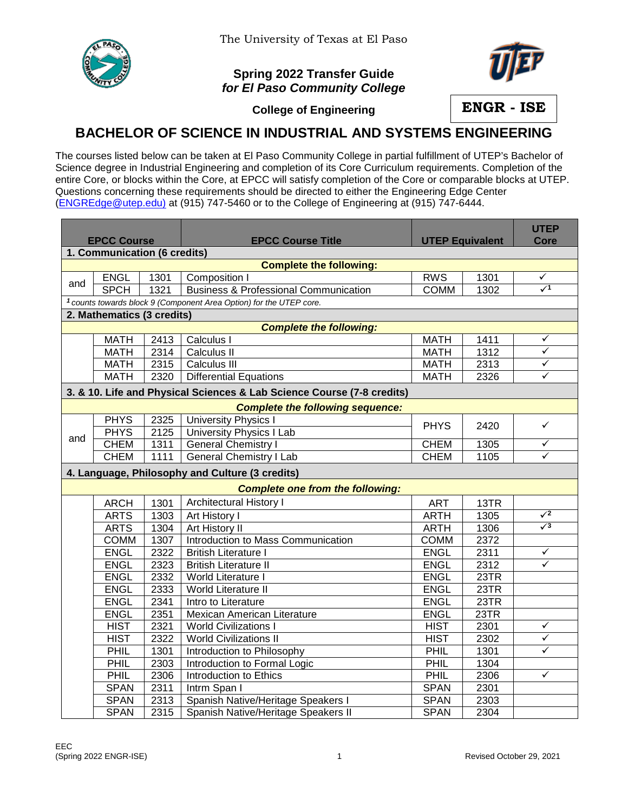

## **Spring 2022 Transfer Guide** *for El Paso Community College*



**College of Engineering**

**ENGR - ISE**

## **BACHELOR OF SCIENCE IN INDUSTRIAL AND SYSTEMS ENGINEERING**

The courses listed below can be taken at El Paso Community College in partial fulfillment of UTEP's Bachelor of Science degree in Industrial Engineering and completion of its Core Curriculum requirements. Completion of the entire Core, or blocks within the Core, at EPCC will satisfy completion of the Core or comparable blocks at UTEP. Questions concerning these requirements should be directed to either the Engineering Edge Center [\(ENGREdge@utep.edu\)](mailto:ENGREdge@utep.edu) at (915) 747-5460 or to the College of Engineering at (915) 747-6444.

|                                                                                |             |      |                                                  |                        |      | <b>UTEP</b>  |  |  |  |  |  |  |
|--------------------------------------------------------------------------------|-------------|------|--------------------------------------------------|------------------------|------|--------------|--|--|--|--|--|--|
| <b>EPCC Course</b>                                                             |             |      | <b>EPCC Course Title</b>                         | <b>UTEP Equivalent</b> |      | <b>Core</b>  |  |  |  |  |  |  |
| 1. Communication (6 credits)                                                   |             |      |                                                  |                        |      |              |  |  |  |  |  |  |
| <b>Complete the following:</b>                                                 |             |      |                                                  |                        |      |              |  |  |  |  |  |  |
| and                                                                            | <b>ENGL</b> | 1301 | Composition I                                    | <b>RWS</b>             | 1301 | ✓            |  |  |  |  |  |  |
|                                                                                | <b>SPCH</b> | 1321 | <b>Business &amp; Professional Communication</b> | <b>COMM</b>            | 1302 | $\sqrt{1}$   |  |  |  |  |  |  |
| <sup>1</sup> counts towards block 9 (Component Area Option) for the UTEP core. |             |      |                                                  |                        |      |              |  |  |  |  |  |  |
| 2. Mathematics (3 credits)                                                     |             |      |                                                  |                        |      |              |  |  |  |  |  |  |
| <b>Complete the following:</b>                                                 |             |      |                                                  |                        |      |              |  |  |  |  |  |  |
|                                                                                | <b>MATH</b> | 2413 | Calculus I                                       | <b>MATH</b>            | 1411 | ✓            |  |  |  |  |  |  |
|                                                                                | <b>MATH</b> | 2314 | Calculus II                                      | <b>MATH</b>            | 1312 | $\checkmark$ |  |  |  |  |  |  |
|                                                                                | <b>MATH</b> | 2315 | Calculus III                                     | <b>MATH</b>            | 2313 | ✓            |  |  |  |  |  |  |
|                                                                                | <b>MATH</b> | 2320 | Differential Equations                           | <b>MATH</b>            | 2326 | $\checkmark$ |  |  |  |  |  |  |
| 3. & 10. Life and Physical Sciences & Lab Science Course (7-8 credits)         |             |      |                                                  |                        |      |              |  |  |  |  |  |  |
| <b>Complete the following sequence:</b>                                        |             |      |                                                  |                        |      |              |  |  |  |  |  |  |
|                                                                                | <b>PHYS</b> | 2325 | <b>University Physics I</b>                      | <b>PHYS</b>            | 2420 | $\checkmark$ |  |  |  |  |  |  |
| and                                                                            | <b>PHYS</b> | 2125 | <b>University Physics I Lab</b>                  |                        |      |              |  |  |  |  |  |  |
|                                                                                | <b>CHEM</b> | 1311 | <b>General Chemistry I</b>                       | <b>CHEM</b>            | 1305 | ✓            |  |  |  |  |  |  |
|                                                                                | <b>CHEM</b> | 1111 | <b>General Chemistry I Lab</b>                   | <b>CHEM</b>            | 1105 | ✓            |  |  |  |  |  |  |
|                                                                                |             |      | 4. Language, Philosophy and Culture (3 credits)  |                        |      |              |  |  |  |  |  |  |
|                                                                                |             |      | <b>Complete one from the following:</b>          |                        |      |              |  |  |  |  |  |  |
|                                                                                | <b>ARCH</b> | 1301 | <b>Architectural History I</b>                   | <b>ART</b>             | 13TR |              |  |  |  |  |  |  |
|                                                                                | <b>ARTS</b> | 1303 | Art History I                                    | <b>ARTH</b>            | 1305 | $\sqrt{2}$   |  |  |  |  |  |  |
|                                                                                | <b>ARTS</b> | 1304 | Art History II                                   | <b>ARTH</b>            | 1306 | $\sqrt{3}$   |  |  |  |  |  |  |
|                                                                                | <b>COMM</b> | 1307 | Introduction to Mass Communication               | <b>COMM</b>            | 2372 |              |  |  |  |  |  |  |
|                                                                                | <b>ENGL</b> | 2322 | <b>British Literature I</b>                      | <b>ENGL</b>            | 2311 | $\checkmark$ |  |  |  |  |  |  |
|                                                                                | <b>ENGL</b> | 2323 | <b>British Literature II</b>                     | <b>ENGL</b>            | 2312 | $\checkmark$ |  |  |  |  |  |  |
|                                                                                | <b>ENGL</b> | 2332 | World Literature I                               | <b>ENGL</b>            | 23TR |              |  |  |  |  |  |  |
|                                                                                | <b>ENGL</b> | 2333 | World Literature II                              | <b>ENGL</b>            | 23TR |              |  |  |  |  |  |  |
|                                                                                | <b>ENGL</b> | 2341 | Intro to Literature                              | <b>ENGL</b>            | 23TR |              |  |  |  |  |  |  |
|                                                                                | <b>ENGL</b> | 2351 | Mexican American Literature                      | <b>ENGL</b>            | 23TR |              |  |  |  |  |  |  |
|                                                                                | <b>HIST</b> | 2321 | <b>World Civilizations I</b>                     | <b>HIST</b>            | 2301 | $\checkmark$ |  |  |  |  |  |  |
|                                                                                | <b>HIST</b> | 2322 | <b>World Civilizations II</b>                    | <b>HIST</b>            | 2302 | $\checkmark$ |  |  |  |  |  |  |
|                                                                                | PHIL        | 1301 | Introduction to Philosophy                       | PHIL                   | 1301 | $\checkmark$ |  |  |  |  |  |  |
|                                                                                | PHIL        | 2303 | Introduction to Formal Logic                     | PHIL                   | 1304 |              |  |  |  |  |  |  |
|                                                                                | PHIL        | 2306 | Introduction to Ethics                           | PHIL                   | 2306 | $\checkmark$ |  |  |  |  |  |  |
|                                                                                | <b>SPAN</b> | 2311 | Intrm Span I                                     | <b>SPAN</b>            | 2301 |              |  |  |  |  |  |  |
|                                                                                | <b>SPAN</b> | 2313 | Spanish Native/Heritage Speakers I               | <b>SPAN</b>            | 2303 |              |  |  |  |  |  |  |
|                                                                                | <b>SPAN</b> | 2315 | Spanish Native/Heritage Speakers II              | <b>SPAN</b>            | 2304 |              |  |  |  |  |  |  |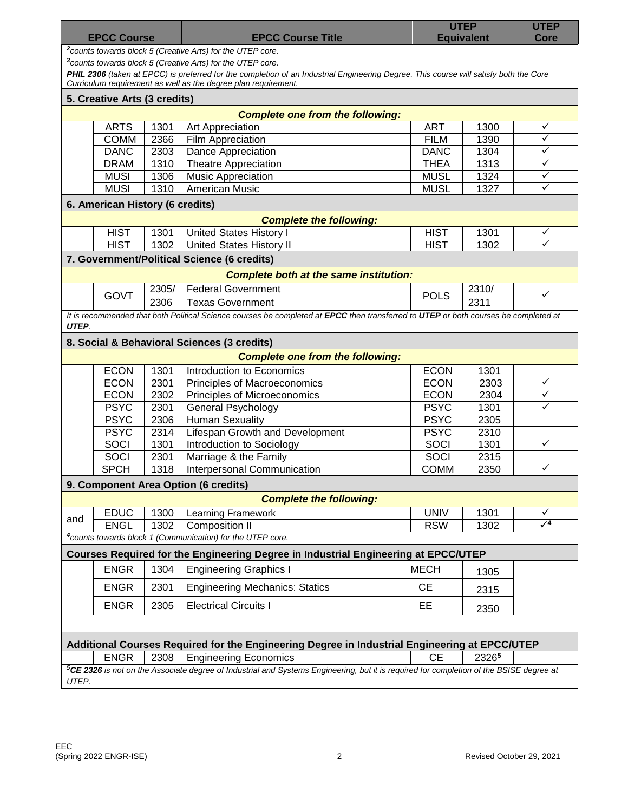| <b>EPCC Course</b>                                                                                                                                           |             |       | <b>EPCC Course Title</b>                                                                                                            |             | <b>UTEP</b><br><b>Equivalent</b> |                 |  |  |  |  |
|--------------------------------------------------------------------------------------------------------------------------------------------------------------|-------------|-------|-------------------------------------------------------------------------------------------------------------------------------------|-------------|----------------------------------|-----------------|--|--|--|--|
| Core<br><sup>2</sup> counts towards block 5 (Creative Arts) for the UTEP core.                                                                               |             |       |                                                                                                                                     |             |                                  |                 |  |  |  |  |
| <sup>3</sup> counts towards block 5 (Creative Arts) for the UTEP core.                                                                                       |             |       |                                                                                                                                     |             |                                  |                 |  |  |  |  |
| PHIL 2306 (taken at EPCC) is preferred for the completion of an Industrial Engineering Degree. This course will satisfy both the Core                        |             |       |                                                                                                                                     |             |                                  |                 |  |  |  |  |
| Curriculum requirement as well as the degree plan requirement.                                                                                               |             |       |                                                                                                                                     |             |                                  |                 |  |  |  |  |
| 5. Creative Arts (3 credits)                                                                                                                                 |             |       |                                                                                                                                     |             |                                  |                 |  |  |  |  |
|                                                                                                                                                              |             |       | <b>Complete one from the following:</b>                                                                                             |             |                                  |                 |  |  |  |  |
|                                                                                                                                                              | <b>ARTS</b> | 1301  | Art Appreciation                                                                                                                    | <b>ART</b>  | 1300                             | $\checkmark$    |  |  |  |  |
|                                                                                                                                                              | <b>COMM</b> | 2366  | Film Appreciation                                                                                                                   | <b>FILM</b> | 1390                             | $\checkmark$    |  |  |  |  |
|                                                                                                                                                              | <b>DANC</b> | 2303  | <b>Dance Appreciation</b>                                                                                                           | <b>DANC</b> | 1304                             | ✓               |  |  |  |  |
|                                                                                                                                                              | <b>DRAM</b> | 1310  | <b>Theatre Appreciation</b>                                                                                                         | <b>THEA</b> | 1313                             | $\checkmark$    |  |  |  |  |
|                                                                                                                                                              | <b>MUSI</b> | 1306  | <b>Music Appreciation</b>                                                                                                           | <b>MUSL</b> | 1324                             | $\checkmark$    |  |  |  |  |
|                                                                                                                                                              | <b>MUSI</b> | 1310  | <b>American Music</b>                                                                                                               | <b>MUSL</b> | 1327                             | $\checkmark$    |  |  |  |  |
| 6. American History (6 credits)                                                                                                                              |             |       |                                                                                                                                     |             |                                  |                 |  |  |  |  |
| <b>Complete the following:</b>                                                                                                                               |             |       |                                                                                                                                     |             |                                  |                 |  |  |  |  |
|                                                                                                                                                              | <b>HIST</b> | 1301  | <b>United States History I</b>                                                                                                      | <b>HIST</b> | 1301                             | $\checkmark$    |  |  |  |  |
|                                                                                                                                                              | <b>HIST</b> | 1302  | <b>United States History II</b>                                                                                                     | <b>HIST</b> | 1302                             | ✓               |  |  |  |  |
|                                                                                                                                                              |             |       | 7. Government/Political Science (6 credits)                                                                                         |             |                                  |                 |  |  |  |  |
|                                                                                                                                                              |             |       | <b>Complete both at the same institution:</b>                                                                                       |             |                                  |                 |  |  |  |  |
|                                                                                                                                                              |             | 2305/ | <b>Federal Government</b>                                                                                                           |             | 2310/                            |                 |  |  |  |  |
|                                                                                                                                                              | <b>GOVT</b> | 2306  | <b>Texas Government</b>                                                                                                             | <b>POLS</b> | 2311                             | ✓               |  |  |  |  |
|                                                                                                                                                              |             |       | It is recommended that both Political Science courses be completed at EPCC then transferred to UTEP or both courses be completed at |             |                                  |                 |  |  |  |  |
| UTEP.                                                                                                                                                        |             |       |                                                                                                                                     |             |                                  |                 |  |  |  |  |
|                                                                                                                                                              |             |       | 8. Social & Behavioral Sciences (3 credits)                                                                                         |             |                                  |                 |  |  |  |  |
|                                                                                                                                                              |             |       | <b>Complete one from the following:</b>                                                                                             |             |                                  |                 |  |  |  |  |
|                                                                                                                                                              | <b>ECON</b> | 1301  | Introduction to Economics                                                                                                           | <b>ECON</b> | 1301                             |                 |  |  |  |  |
|                                                                                                                                                              | <b>ECON</b> | 2301  | Principles of Macroeconomics                                                                                                        | <b>ECON</b> | 2303                             | ✓               |  |  |  |  |
|                                                                                                                                                              | <b>ECON</b> | 2302  | Principles of Microeconomics                                                                                                        | <b>ECON</b> | 2304                             | ✓               |  |  |  |  |
|                                                                                                                                                              | <b>PSYC</b> | 2301  | <b>General Psychology</b>                                                                                                           | <b>PSYC</b> | 1301                             | ✓               |  |  |  |  |
|                                                                                                                                                              | <b>PSYC</b> | 2306  | <b>Human Sexuality</b>                                                                                                              | <b>PSYC</b> | 2305                             |                 |  |  |  |  |
|                                                                                                                                                              | <b>PSYC</b> | 2314  | Lifespan Growth and Development                                                                                                     | <b>PSYC</b> | 2310                             |                 |  |  |  |  |
|                                                                                                                                                              | SOCI        | 1301  | Introduction to Sociology                                                                                                           | SOCI        | 1301                             | ✓               |  |  |  |  |
|                                                                                                                                                              | SOCI        | 2301  | Marriage & the Family                                                                                                               | SOCI        | 2315                             |                 |  |  |  |  |
|                                                                                                                                                              | <b>SPCH</b> | 1318  | <b>Interpersonal Communication</b>                                                                                                  | <b>COMM</b> | 2350                             | ✓               |  |  |  |  |
|                                                                                                                                                              |             |       |                                                                                                                                     |             |                                  |                 |  |  |  |  |
|                                                                                                                                                              |             |       | 9. Component Area Option (6 credits)                                                                                                |             |                                  |                 |  |  |  |  |
|                                                                                                                                                              |             |       | <b>Complete the following:</b>                                                                                                      |             |                                  |                 |  |  |  |  |
| and                                                                                                                                                          | <b>EDUC</b> | 1300  | Learning Framework                                                                                                                  | <b>UNIV</b> | 1301                             | ✓<br>$\sqrt{4}$ |  |  |  |  |
|                                                                                                                                                              | <b>ENGL</b> | 1302  | Composition II                                                                                                                      | <b>RSW</b>  | 1302                             |                 |  |  |  |  |
|                                                                                                                                                              |             |       | <sup>4</sup> counts towards block 1 (Communication) for the UTEP core.                                                              |             |                                  |                 |  |  |  |  |
|                                                                                                                                                              |             |       | Courses Required for the Engineering Degree in Industrial Engineering at EPCC/UTEP                                                  |             |                                  |                 |  |  |  |  |
|                                                                                                                                                              | <b>ENGR</b> | 1304  | <b>Engineering Graphics I</b>                                                                                                       | <b>MECH</b> | 1305                             |                 |  |  |  |  |
|                                                                                                                                                              | <b>ENGR</b> | 2301  | <b>Engineering Mechanics: Statics</b>                                                                                               | <b>CE</b>   | 2315                             |                 |  |  |  |  |
|                                                                                                                                                              | <b>ENGR</b> | 2305  | <b>Electrical Circuits I</b>                                                                                                        | EE          | 2350                             |                 |  |  |  |  |
|                                                                                                                                                              |             |       |                                                                                                                                     |             |                                  |                 |  |  |  |  |
|                                                                                                                                                              |             |       |                                                                                                                                     |             |                                  |                 |  |  |  |  |
|                                                                                                                                                              |             |       | Additional Courses Required for the Engineering Degree in Industrial Engineering at EPCC/UTEP                                       |             |                                  |                 |  |  |  |  |
|                                                                                                                                                              | <b>ENGR</b> | 2308  | <b>Engineering Economics</b>                                                                                                        | <b>CE</b>   | 23265                            |                 |  |  |  |  |
| <sup>5</sup> CE 2326 is not on the Associate degree of Industrial and Systems Engineering, but it is required for completion of the BSISE degree at<br>UTEP. |             |       |                                                                                                                                     |             |                                  |                 |  |  |  |  |
|                                                                                                                                                              |             |       |                                                                                                                                     |             |                                  |                 |  |  |  |  |